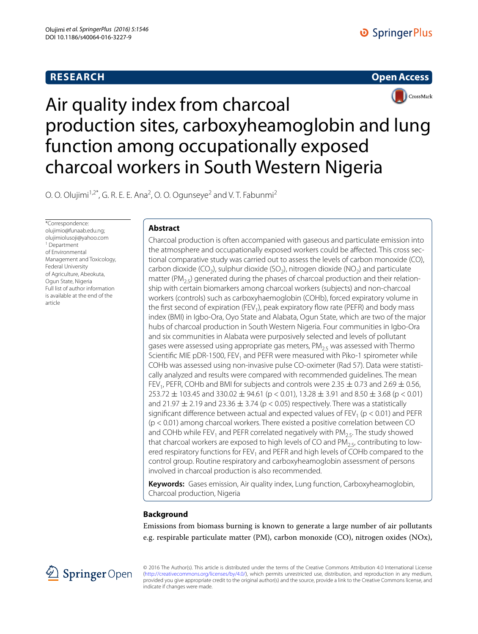# **RESEARCH**





# Air quality index from charcoal production sites, carboxyheamoglobin and lung function among occupationally exposed charcoal workers in South Western Nigeria

O. O. Olujimi<sup>1,2\*</sup>, G. R. E. E. Ana<sup>2</sup>, O. O. Ogunseye<sup>2</sup> and V. T. Fabunmi<sup>2</sup>

\*Correspondence: olujimio@funaab.edu.ng; olujimiolusoji@yahoo.com 1 Department of Environmental Management and Toxicology, Federal University of Agriculture, Abeokuta, Ogun State, Nigeria Full list of author information is available at the end of the article

# **Abstract**

Charcoal production is often accompanied with gaseous and particulate emission into the atmosphere and occupationally exposed workers could be affected. This cross sectional comparative study was carried out to assess the levels of carbon monoxide (CO), carbon dioxide (CO<sub>2</sub>), sulphur dioxide (SO<sub>2</sub>), nitrogen dioxide (NO<sub>2</sub>) and particulate matter ( $PM_{25}$ ) generated during the phases of charcoal production and their relationship with certain biomarkers among charcoal workers (subjects) and non-charcoal workers (controls) such as carboxyhaemoglobin (COHb), forced expiratory volume in the first second of expiration (FEV<sub>1</sub>), peak expiratory flow rate (PEFR) and body mass index (BMI) in Igbo-Ora, Oyo State and Alabata, Ogun State, which are two of the major hubs of charcoal production in South Western Nigeria. Four communities in Igbo-Ora and six communities in Alabata were purposively selected and levels of pollutant gases were assessed using appropriate gas meters,  $PM<sub>25</sub>$  was assessed with Thermo Scientific MIE pDR-1500, FEV<sub>1</sub> and PEFR were measured with Piko-1 spirometer while COHb was assessed using non-invasive pulse CO-oximeter (Rad 57). Data were statistically analyzed and results were compared with recommended guidelines. The mean FEV<sub>1</sub>, PEFR, COHb and BMI for subjects and controls were 2.35  $\pm$  0.73 and 2.69  $\pm$  0.56,  $253.72 \pm 103.45$  and  $330.02 \pm 94.61$  (p < 0.01),  $13.28 \pm 3.91$  and  $8.50 \pm 3.68$  (p < 0.01) and 21.97  $\pm$  2.19 and 23.36  $\pm$  3.74 (p < 0.05) respectively. There was a statistically significant difference between actual and expected values of  $FEV<sub>1</sub>$  (p < 0.01) and PEFR (p < 0.01) among charcoal workers. There existed a positive correlation between CO and COHb while FEV<sub>1</sub> and PEFR correlated negatively with PM<sub>2.5</sub>. The study showed that charcoal workers are exposed to high levels of CO and  $PM_{2.5}$ , contributing to lowered respiratory functions for FEV<sub>1</sub> and PEFR and high levels of COHb compared to the control group. Routine respiratory and carboxyheamoglobin assessment of persons involved in charcoal production is also recommended.

**Keywords:** Gases emission, Air quality index, Lung function, Carboxyheamoglobin, Charcoal production, Nigeria

# **Background**

Emissions from biomass burning is known to generate a large number of air pollutants e.g. respirable particulate matter (PM), carbon monoxide (CO), nitrogen oxides (NOx),



© 2016 The Author(s). This article is distributed under the terms of the Creative Commons Attribution 4.0 International License [\(http://creativecommons.org/licenses/by/4.0/](http://creativecommons.org/licenses/by/4.0/)), which permits unrestricted use, distribution, and reproduction in any medium, provided you give appropriate credit to the original author(s) and the source, provide a link to the Creative Commons license, and indicate if changes were made.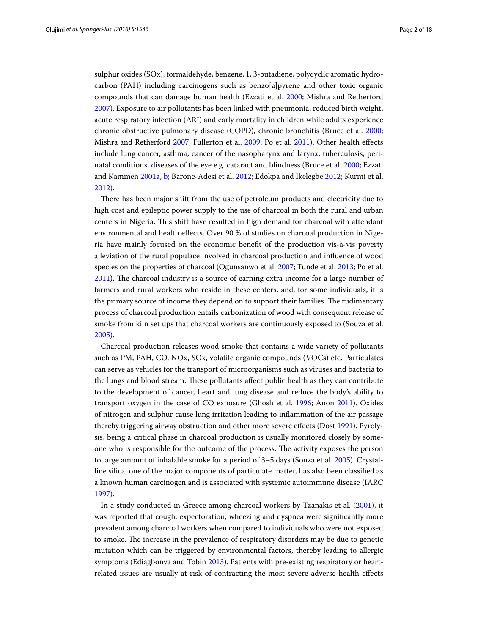sulphur oxides (SOx), formaldehyde, benzene, 1, 3-butadiene, polycyclic aromatic hydrocarbon (PAH) including carcinogens such as benzo[a]pyrene and other toxic organic compounds that can damage human health (Ezzati et al. [2000;](#page-15-0) Mishra and Retherford [2007](#page-15-1)). Exposure to air pollutants has been linked with pneumonia, reduced birth weight, acute respiratory infection (ARI) and early mortality in children while adults experience chronic obstructive pulmonary disease (COPD), chronic bronchitis (Bruce et al. [2000](#page-15-2); Mishra and Retherford [2007;](#page-15-1) Fullerton et al. [2009](#page-15-3); Po et al. [2011](#page-15-1)). Other health effects include lung cancer, asthma, cancer of the nasopharynx and larynx, tuberculosis, perinatal conditions, diseases of the eye e.g. cataract and blindness (Bruce et al. [2000](#page-15-2); Ezzati and Kammen [2001a](#page-15-4), [b](#page-15-5); Barone-Adesi et al. [2012;](#page-15-6) Edokpa and Ikelegbe [2012;](#page-15-7) Kurmi et al. [2012](#page-15-1)).

There has been major shift from the use of petroleum products and electricity due to high cost and epileptic power supply to the use of charcoal in both the rural and urban centers in Nigeria. This shift have resulted in high demand for charcoal with attendant environmental and health effects. Over 90 % of studies on charcoal production in Nigeria have mainly focused on the economic benefit of the production vis-à-vis poverty alleviation of the rural populace involved in charcoal production and influence of wood species on the properties of charcoal (Ogunsanwo et al. [2007;](#page-15-1) Tunde et al. [2013;](#page-15-1) Po et al. [2011](#page-15-1)). The charcoal industry is a source of earning extra income for a large number of farmers and rural workers who reside in these centers, and, for some individuals, it is the primary source of income they depend on to support their families. The rudimentary process of charcoal production entails carbonization of wood with consequent release of smoke from kiln set ups that charcoal workers are continuously exposed to (Souza et al. [2005](#page-15-1)).

Charcoal production releases wood smoke that contains a wide variety of pollutants such as PM, PAH, CO, NOx, SOx, volatile organic compounds (VOCs) etc. Particulates can serve as vehicles for the transport of microorganisms such as viruses and bacteria to the lungs and blood stream. These pollutants affect public health as they can contribute to the development of cancer, heart and lung disease and reduce the body's ability to transport oxygen in the case of CO exposure (Ghosh et al. [1996](#page-15-8); Anon [2011\)](#page-15-9). Oxides of nitrogen and sulphur cause lung irritation leading to inflammation of the air passage thereby triggering airway obstruction and other more severe effects (Dost [1991\)](#page-15-10). Pyrolysis, being a critical phase in charcoal production is usually monitored closely by someone who is responsible for the outcome of the process. The activity exposes the person to large amount of inhalable smoke for a period of 3–5 days (Souza et al. [2005\)](#page-15-1). Crystalline silica, one of the major components of particulate matter, has also been classified as a known human carcinogen and is associated with systemic autoimmune disease (IARC [1997](#page-15-1)).

In a study conducted in Greece among charcoal workers by Tzanakis et al. [\(2001](#page-15-1)), it was reported that cough, expectoration, wheezing and dyspnea were significantly more prevalent among charcoal workers when compared to individuals who were not exposed to smoke. The increase in the prevalence of respiratory disorders may be due to genetic mutation which can be triggered by environmental factors, thereby leading to allergic symptoms (Ediagbonya and Tobin [2013](#page-15-11)). Patients with pre-existing respiratory or heartrelated issues are usually at risk of contracting the most severe adverse health effects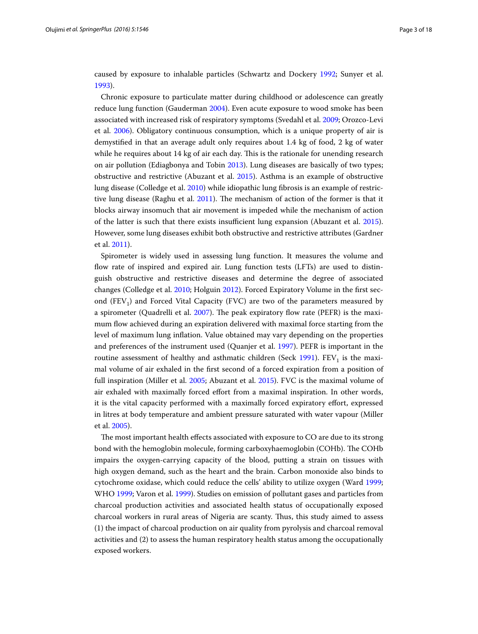caused by exposure to inhalable particles (Schwartz and Dockery [1992](#page-15-1); Sunyer et al. [1993](#page-15-1)).

Chronic exposure to particulate matter during childhood or adolescence can greatly reduce lung function (Gauderman [2004\)](#page-15-12). Even acute exposure to wood smoke has been associated with increased risk of respiratory symptoms (Svedahl et al. [2009;](#page-15-1) Orozco-Levi et al. [2006\)](#page-15-1). Obligatory continuous consumption, which is a unique property of air is demystified in that an average adult only requires about 1.4 kg of food, 2 kg of water while he requires about 14 kg of air each day. This is the rationale for unending research on air pollution (Ediagbonya and Tobin [2013](#page-15-11)). Lung diseases are basically of two types; obstructive and restrictive (Abuzant et al. [2015](#page-15-13)). Asthma is an example of obstructive lung disease (Colledge et al. [2010](#page-15-14)) while idiopathic lung fibrosis is an example of restrictive lung disease (Raghu et al. [2011](#page-15-1)). The mechanism of action of the former is that it blocks airway insomuch that air movement is impeded while the mechanism of action of the latter is such that there exists insufficient lung expansion (Abuzant et al. [2015](#page-15-13)). However, some lung diseases exhibit both obstructive and restrictive attributes (Gardner et al. [2011\)](#page-15-15).

Spirometer is widely used in assessing lung function. It measures the volume and flow rate of inspired and expired air. Lung function tests (LFTs) are used to distinguish obstructive and restrictive diseases and determine the degree of associated changes (Colledge et al. [2010;](#page-15-14) Holguin [2012](#page-15-1)). Forced Expiratory Volume in the first second  $(FEV_1)$  and Forced Vital Capacity (FVC) are two of the parameters measured by a spirometer (Quadrelli et al. [2007](#page-15-1)). The peak expiratory flow rate (PEFR) is the maximum flow achieved during an expiration delivered with maximal force starting from the level of maximum lung inflation. Value obtained may vary depending on the properties and preferences of the instrument used (Quanjer et al. [1997\)](#page-15-1). PEFR is important in the routine assessment of healthy and asthmatic children (Seck  $1991$ ). FEV<sub>1</sub> is the maximal volume of air exhaled in the first second of a forced expiration from a position of full inspiration (Miller et al. [2005;](#page-15-1) Abuzant et al. [2015\)](#page-15-13). FVC is the maximal volume of air exhaled with maximally forced effort from a maximal inspiration. In other words, it is the vital capacity performed with a maximally forced expiratory effort, expressed in litres at body temperature and ambient pressure saturated with water vapour (Miller et al. [2005\)](#page-15-1).

The most important health effects associated with exposure to CO are due to its strong bond with the hemoglobin molecule, forming carboxyhaemoglobin (COHb). The COHb impairs the oxygen-carrying capacity of the blood, putting a strain on tissues with high oxygen demand, such as the heart and the brain. Carbon monoxide also binds to cytochrome oxidase, which could reduce the cells' ability to utilize oxygen (Ward [1999](#page-15-1); WHO [1999;](#page-15-1) Varon et al. [1999\)](#page-15-1). Studies on emission of pollutant gases and particles from charcoal production activities and associated health status of occupationally exposed charcoal workers in rural areas of Nigeria are scanty. Thus, this study aimed to assess (1) the impact of charcoal production on air quality from pyrolysis and charcoal removal activities and (2) to assess the human respiratory health status among the occupationally exposed workers.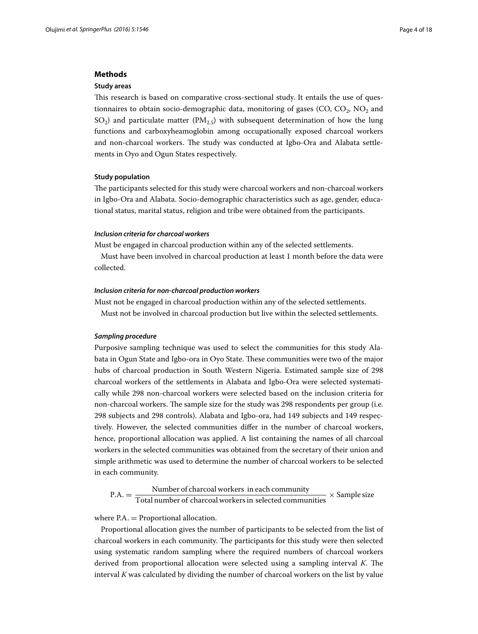## **Methods**

#### **Study areas**

This research is based on comparative cross-sectional study. It entails the use of questionnaires to obtain socio-demographic data, monitoring of gases (CO, CO<sub>2</sub>, NO<sub>2</sub> and SO<sub>2</sub>) and particulate matter (PM<sub>2.5</sub>) with subsequent determination of how the lung functions and carboxyheamoglobin among occupationally exposed charcoal workers and non-charcoal workers. The study was conducted at Igbo-Ora and Alabata settlements in Oyo and Ogun States respectively.

#### **Study population**

The participants selected for this study were charcoal workers and non-charcoal workers in Igbo-Ora and Alabata. Socio-demographic characteristics such as age, gender, educational status, marital status, religion and tribe were obtained from the participants.

#### *Inclusion criteria for charcoal workers*

Must be engaged in charcoal production within any of the selected settlements.

Must have been involved in charcoal production at least 1 month before the data were collected.

#### *Inclusion criteria for non‑charcoal production workers*

Must not be engaged in charcoal production within any of the selected settlements. Must not be involved in charcoal production but live within the selected settlements.

## *Sampling procedure*

Purposive sampling technique was used to select the communities for this study Alabata in Ogun State and Igbo-ora in Oyo State. These communities were two of the major hubs of charcoal production in South Western Nigeria. Estimated sample size of 298 charcoal workers of the settlements in Alabata and Igbo-Ora were selected systematically while 298 non-charcoal workers were selected based on the inclusion criteria for non-charcoal workers. The sample size for the study was 298 respondents per group (i.e. 298 subjects and 298 controls). Alabata and Igbo-ora, had 149 subjects and 149 respectively. However, the selected communities differ in the number of charcoal workers, hence, proportional allocation was applied. A list containing the names of all charcoal workers in the selected communities was obtained from the secretary of their union and simple arithmetic was used to determine the number of charcoal workers to be selected in each community.

 $P.A. = \frac{Number of charcoal workers in each community}{Total number of charcoal workers in selected communities} \times Sample size$ 

where  $PA =$  Proportional allocation.

Proportional allocation gives the number of participants to be selected from the list of charcoal workers in each community. The participants for this study were then selected using systematic random sampling where the required numbers of charcoal workers derived from proportional allocation were selected using a sampling interval *K*. The interval *K* was calculated by dividing the number of charcoal workers on the list by value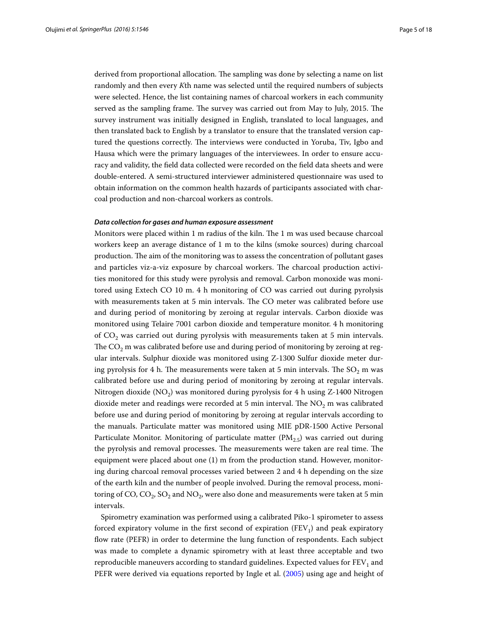derived from proportional allocation. The sampling was done by selecting a name on list randomly and then every *K*th name was selected until the required numbers of subjects were selected. Hence, the list containing names of charcoal workers in each community served as the sampling frame. The survey was carried out from May to July, 2015. The survey instrument was initially designed in English, translated to local languages, and then translated back to English by a translator to ensure that the translated version captured the questions correctly. The interviews were conducted in Yoruba, Tiv, Igbo and Hausa which were the primary languages of the interviewees. In order to ensure accuracy and validity, the field data collected were recorded on the field data sheets and were double-entered. A semi-structured interviewer administered questionnaire was used to obtain information on the common health hazards of participants associated with charcoal production and non-charcoal workers as controls.

## *Data collection for gases and human exposure assessment*

Monitors were placed within 1 m radius of the kiln. The 1 m was used because charcoal workers keep an average distance of 1 m to the kilns (smoke sources) during charcoal production. The aim of the monitoring was to assess the concentration of pollutant gases and particles viz-a-viz exposure by charcoal workers. The charcoal production activities monitored for this study were pyrolysis and removal. Carbon monoxide was monitored using Extech CO 10 m. 4 h monitoring of CO was carried out during pyrolysis with measurements taken at 5 min intervals. The CO meter was calibrated before use and during period of monitoring by zeroing at regular intervals. Carbon dioxide was monitored using Telaire 7001 carbon dioxide and temperature monitor. 4 h monitoring of  $CO<sub>2</sub>$  was carried out during pyrolysis with measurements taken at 5 min intervals. The  $CO<sub>2</sub>$  m was calibrated before use and during period of monitoring by zeroing at regular intervals. Sulphur dioxide was monitored using Z-1300 Sulfur dioxide meter during pyrolysis for 4 h. The measurements were taken at 5 min intervals. The  $SO_2$  m was calibrated before use and during period of monitoring by zeroing at regular intervals. Nitrogen dioxide ( $NO<sub>2</sub>$ ) was monitored during pyrolysis for 4 h using Z-1400 Nitrogen dioxide meter and readings were recorded at 5 min interval. The  $NO<sub>2</sub>$  m was calibrated before use and during period of monitoring by zeroing at regular intervals according to the manuals. Particulate matter was monitored using MIE pDR-1500 Active Personal Particulate Monitor. Monitoring of particulate matter  $(PM<sub>2.5</sub>)$  was carried out during the pyrolysis and removal processes. The measurements were taken are real time. The equipment were placed about one (1) m from the production stand. However, monitoring during charcoal removal processes varied between 2 and 4 h depending on the size of the earth kiln and the number of people involved. During the removal process, monitoring of CO,  $CO_2$ ,  $SO_2$  and  $NO_2$ , were also done and measurements were taken at 5 min intervals.

Spirometry examination was performed using a calibrated Piko-1 spirometer to assess forced expiratory volume in the first second of expiration (FEV<sub>1</sub>) and peak expiratory flow rate (PEFR) in order to determine the lung function of respondents. Each subject was made to complete a dynamic spirometry with at least three acceptable and two reproducible maneuvers according to standard guidelines. Expected values for  $FEV<sub>1</sub>$  and PEFR were derived via equations reported by Ingle et al. [\(2005\)](#page-15-1) using age and height of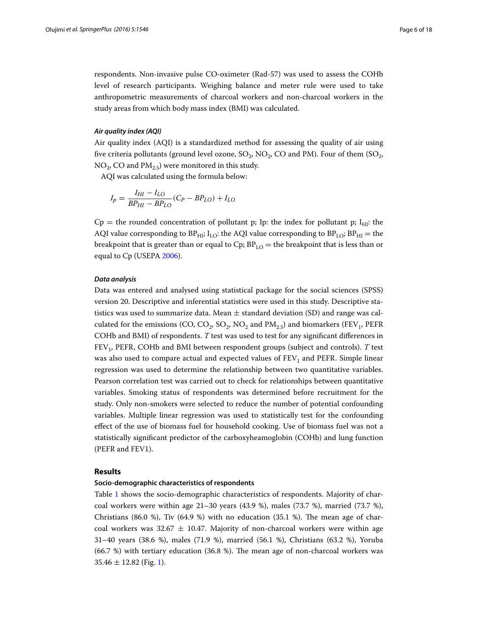respondents. Non-invasive pulse CO-oximeter (Rad-57) was used to assess the COHb level of research participants. Weighing balance and meter rule were used to take anthropometric measurements of charcoal workers and non-charcoal workers in the study areas from which body mass index (BMI) was calculated.

## *Air quality index (AQI)*

Air quality index (AQI) is a standardized method for assessing the quality of air using five criteria pollutants (ground level ozone,  $SO_2$ ,  $NO_2$ ,  $CO$  and PM). Four of them ( $SO_2$ ,  $NO<sub>2</sub>$ , CO and  $PM<sub>2.5</sub>$ ) were monitored in this study.

AQI was calculated using the formula below:

$$
I_p = \frac{I_{HI} - I_{LO}}{BP_{HI} - BP_{LO}}(C_P - BP_{LO}) + I_{LO}
$$

 $Cp =$  the rounded concentration of pollutant p; Ip: the index for pollutant p; I<sub>HI</sub>: the AQI value corresponding to BP<sub>HI</sub>; I<sub>LO</sub>: the AQI value corresponding to BP<sub>LO</sub>; BP<sub>HI</sub> = the breakpoint that is greater than or equal to Cp;  $BP_{LO}$  = the breakpoint that is less than or equal to Cp (USEPA [2006\)](#page-15-1).

## *Data analysis*

Data was entered and analysed using statistical package for the social sciences (SPSS) version 20. Descriptive and inferential statistics were used in this study. Descriptive statistics was used to summarize data. Mean  $\pm$  standard deviation (SD) and range was calculated for the emissions (CO, CO<sub>2</sub>, SO<sub>2</sub>, NO<sub>2</sub> and PM<sub>2.5</sub>) and biomarkers (FEV<sub>1</sub>, PEFR COHb and BMI) of respondents. *T* test was used to test for any significant differences in FEV1, PEFR, COHb and BMI between respondent groups (subject and controls). *T* test was also used to compare actual and expected values of  $FEV<sub>1</sub>$  and  $PEFR$ . Simple linear regression was used to determine the relationship between two quantitative variables. Pearson correlation test was carried out to check for relationships between quantitative variables. Smoking status of respondents was determined before recruitment for the study. Only non-smokers were selected to reduce the number of potential confounding variables. Multiple linear regression was used to statistically test for the confounding effect of the use of biomass fuel for household cooking. Use of biomass fuel was not a statistically significant predictor of the carboxyheamoglobin (COHb) and lung function (PEFR and FEV1).

#### **Results**

#### **Socio‑demographic characteristics of respondents**

Table [1](#page-6-0) shows the socio-demographic characteristics of respondents. Majority of charcoal workers were within age  $21-30$  years (43.9 %), males (73.7 %), married (73.7 %), Christians (86.0 %), Tiv (64.9 %) with no education (35.1 %). The mean age of charcoal workers was 32.67  $\pm$  10.47. Majority of non-charcoal workers were within age 31–40 years (38.6 %), males (71.9 %), married (56.1 %), Christians (63.2 %), Yoruba (66.7 %) with tertiary education (36.8 %). The mean age of non-charcoal workers was  $35.46 \pm 12.82$  $35.46 \pm 12.82$  $35.46 \pm 12.82$  (Fig. 1).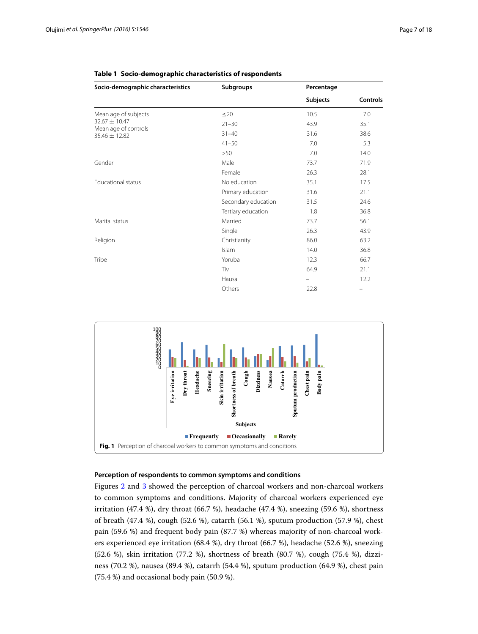| Socio-demographic characteristics         | <b>Subgroups</b>    | Percentage      |                 |
|-------------------------------------------|---------------------|-----------------|-----------------|
|                                           |                     | <b>Subjects</b> | <b>Controls</b> |
| Mean age of subjects                      | $\leq$ 20           | 10.5            | 7.0             |
| $32.67 \pm 10.47$                         | $21 - 30$           | 43.9            | 35.1            |
| Mean age of controls<br>$35.46 \pm 12.82$ | $31 - 40$           | 31.6            | 38.6            |
|                                           | $41 - 50$           | 7.0             | 5.3             |
|                                           | >50                 | 7.0             | 14.0            |
| Gender                                    | Male                | 73.7            | 71.9            |
|                                           | Female              | 26.3            | 28.1            |
| Educational status                        | No education        | 35.1            | 17.5            |
|                                           | Primary education   | 31.6            | 21.1            |
|                                           | Secondary education | 31.5            | 24.6            |
|                                           | Tertiary education  | 1.8             | 36.8            |
| Marital status                            | Married             | 73.7            | 56.1            |
|                                           | Single              | 26.3            | 43.9            |
| Religion                                  | Christianity        | 86.0            | 63.2            |
|                                           | Islam               | 14.0            | 36.8            |
| Tribe                                     | Yoruba              | 12.3            | 66.7            |
|                                           | Tiv                 | 64.9            | 21.1            |
|                                           | Hausa               |                 | 12.2            |
|                                           | Others              | 22.8            | $\equiv$        |

## <span id="page-6-0"></span>**Table 1 Socio-demographic characteristics of respondents**



## <span id="page-6-1"></span>**Perception of respondents to common symptoms and conditions**

Figures [2](#page-7-0) and [3](#page-7-1) showed the perception of charcoal workers and non-charcoal workers to common symptoms and conditions. Majority of charcoal workers experienced eye irritation (47.4 %), dry throat (66.7 %), headache (47.4 %), sneezing (59.6 %), shortness of breath (47.4 %), cough (52.6 %), catarrh (56.1 %), sputum production (57.9 %), chest pain (59.6 %) and frequent body pain (87.7 %) whereas majority of non-charcoal workers experienced eye irritation (68.4 %), dry throat (66.7 %), headache (52.6 %), sneezing (52.6 %), skin irritation (77.2 %), shortness of breath (80.7 %), cough (75.4 %), dizziness (70.2 %), nausea (89.4 %), catarrh (54.4 %), sputum production (64.9 %), chest pain (75.4 %) and occasional body pain (50.9 %).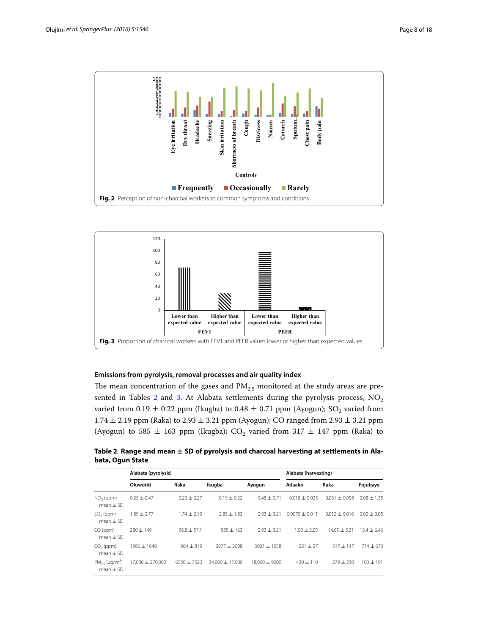

<span id="page-7-0"></span>

## <span id="page-7-1"></span>**Emissions from pyrolysis, removal processes and air quality index**

The mean concentration of the gases and  $PM<sub>2.5</sub>$  monitored at the study areas are pre-sented in Tables [2](#page-7-2) and [3.](#page-8-0) At Alabata settlements during the pyrolysis process,  $NO<sub>2</sub>$ varied from 0.19  $\pm$  0.22 ppm (Ikugba) to 0.48  $\pm$  0.71 ppm (Ayogun); SO<sub>2</sub> varied from  $1.74 \pm 2.19$  ppm (Raka) to  $2.93 \pm 3.21$  ppm (Ayogun); CO ranged from  $2.93 \pm 3.21$  ppm (Ayogun) to 585  $\pm$  163 ppm (Ikugba); CO<sub>2</sub> varied from 317  $\pm$  147 ppm (Raka) to

<span id="page-7-2"></span>**Table 2 Range and mean ± SD of pyrolysis and charcoal harvesting at settlements in Alabata, Ogun State**

|                                               | Alabata (pyrolysis) |                 |                     |               | Alabata (harvesting) |                   |               |  |  |
|-----------------------------------------------|---------------------|-----------------|---------------------|---------------|----------------------|-------------------|---------------|--|--|
|                                               | Oluwotiti           | Raka            | Ikuqba              | Ayogun        | Adaako               | Raka              | Fojubaye      |  |  |
| $NO2$ (ppm)<br>mean $\pm$ SD                  | $0.25 \pm 0.47$     | $0.20 \pm 0.27$ | $0.19 + 0.22$       | $0.48 + 0.71$ | $0.018 + 0.025$      | $+0.058$<br>0.031 | $0.08 + 1.35$ |  |  |
| $SO2$ (ppm)<br>$mean + SD$                    | $1.89 \pm 2.77$     | $1.74 + 2.19$   | $7.85 + 1.83$       | $7.93 + 3.21$ | $0.0075 + 0.011$     | $0.012 + 0.016$   | $0.02 + 0.05$ |  |  |
| CO (ppm)<br>mean $\pm$ SD                     | $280 \pm 149$       | $96.8 \pm 57.1$ | $585 + 163$         | $7.93 + 3.21$ | $1.50 + 2.05$        | $14.65 + 5.31$    | $13.4 + 6.46$ |  |  |
| $CO2$ (ppm)<br>$mean + SD$                    | 1986 ± 1648         | $964 + 819$     | $3877 + 2608$       | 3021 ± 1958   | $221 \pm 27$         | $317 + 147$       | $714 \pm 673$ |  |  |
| $PM_{25}$ (µg/m <sup>3</sup> )<br>$mean + SD$ | 17,000 ± 270,000    | $6550 \pm 7520$ | $34.000 \pm 17.000$ | 18,000 ± 9000 | $430 + 110$          | $779 + 730$       | $103 + 191$   |  |  |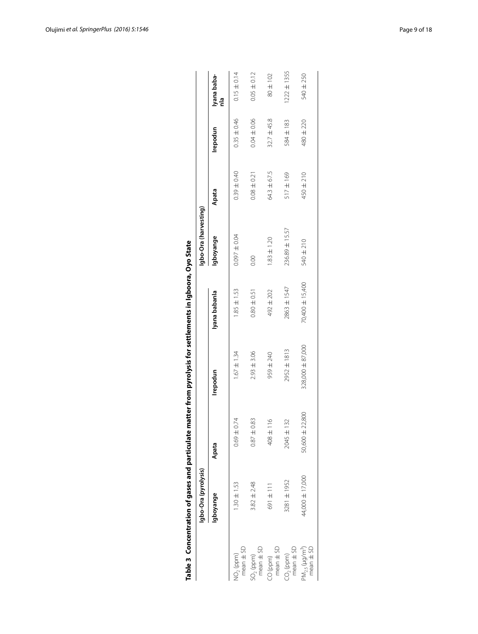|                                                  | Table 3 Concentration of gases and particulate |                        | matter from pyrolysis for settlements in Igboora, Oyo State |                 |                       |                 |                 |                    |
|--------------------------------------------------|------------------------------------------------|------------------------|-------------------------------------------------------------|-----------------|-----------------------|-----------------|-----------------|--------------------|
|                                                  | Igbo-Ora (pyrolysis)                           |                        |                                                             |                 | labo-Ora (harvesting) |                 |                 |                    |
|                                                  | gboyange                                       | Apata                  | Irepodun                                                    | Iyana babanla   | lgboyange             | Apata           | Irepodun        | Iyana baba-<br>nla |
| $mean \pm SD$<br>VO <sub>2</sub> (ppm)           | $1.30 \pm 1.53$                                | $0.69 \pm 0.74$        | $1.67 \pm 1.34$                                             | $1.85 \pm 1.53$ | $0.097 \pm 0.04$      | $0.39 \pm 0.40$ | $0.35 \pm 0.46$ | $0.15 \pm 0.14$    |
| $mean \pm SD$<br>$SO2$ (ppm)                     | $3.82 \pm 2.48$                                | $0.87 \pm 0.83$        | $2.93 \pm 3.06$                                             | $0.80 \pm 0.51$ | 0.00                  | $0.08 \pm 0.21$ | $0.04 \pm 0.06$ | $0.05 \pm 0.12$    |
| $mean \pm SD$<br>CO (ppm)                        | 691±111                                        | $\frac{6}{1}$<br>408 ± | 959 ± 240                                                   | 492 ± 202       | $1.83 \pm 1.20$       | 64.3 ± 67.5     | $32.7 \pm 45.8$ | 80 ± 102           |
| $mean \pm SD$<br>$CO2$ (ppm)                     | 3281 ± 1952                                    | 132<br>$2045 \pm$      | 2952 ± 1813                                                 | 2863 ± 1547     | 236.89 ± 15.57        | 517 ± 169       | 584 ± 183       | $1222 \pm 1355$    |
| $PM_{2.5}$ (µg/m <sup>3</sup> )<br>$mean \pm SD$ | 44,000 ± 17,000                                | 50,600 ± 22,800        | 328,000 ± 87,000                                            | 70,400 ± 15,400 | 540 ± 210             | 450 ± 210       | 480 ± 220       | 540 ± 250          |

<span id="page-8-0"></span>

|    | 5ia                                               |
|----|---------------------------------------------------|
|    |                                                   |
| i  |                                                   |
|    |                                                   |
|    |                                                   |
| ֚֓ |                                                   |
|    | )<br>5<br>5<br>5<br>lements in Ighoora. (         |
|    |                                                   |
|    |                                                   |
|    |                                                   |
|    | ֧֚֚֚֬                                             |
|    |                                                   |
|    | i                                                 |
|    |                                                   |
|    |                                                   |
|    |                                                   |
|    |                                                   |
|    |                                                   |
|    |                                                   |
|    |                                                   |
|    |                                                   |
|    | $-1$                                              |
|    |                                                   |
|    |                                                   |
|    |                                                   |
|    |                                                   |
|    |                                                   |
|    |                                                   |
|    |                                                   |
|    |                                                   |
|    |                                                   |
|    | rom nurolvcic tr                                  |
|    |                                                   |
|    |                                                   |
|    |                                                   |
|    |                                                   |
|    |                                                   |
|    |                                                   |
|    | $\frac{1}{2}$                                     |
|    |                                                   |
|    |                                                   |
|    | ;                                                 |
|    |                                                   |
|    |                                                   |
|    |                                                   |
|    |                                                   |
|    | $-11 - 11$                                        |
|    |                                                   |
|    |                                                   |
|    |                                                   |
|    |                                                   |
|    |                                                   |
|    |                                                   |
|    |                                                   |
|    |                                                   |
|    |                                                   |
|    |                                                   |
|    |                                                   |
|    |                                                   |
|    |                                                   |
|    |                                                   |
|    | ֠                                                 |
|    | artification has appear to moth                   |
|    |                                                   |
|    |                                                   |
|    |                                                   |
|    |                                                   |
|    |                                                   |
|    | :<br>:<br>:<br>:<br>:<br>:<br>:<br><br>:<br><br>: |
|    |                                                   |
|    | ----                                              |
|    |                                                   |
|    |                                                   |
|    |                                                   |
|    | Ś                                                 |
|    |                                                   |
|    |                                                   |
|    |                                                   |
|    | ale 3                                             |
|    |                                                   |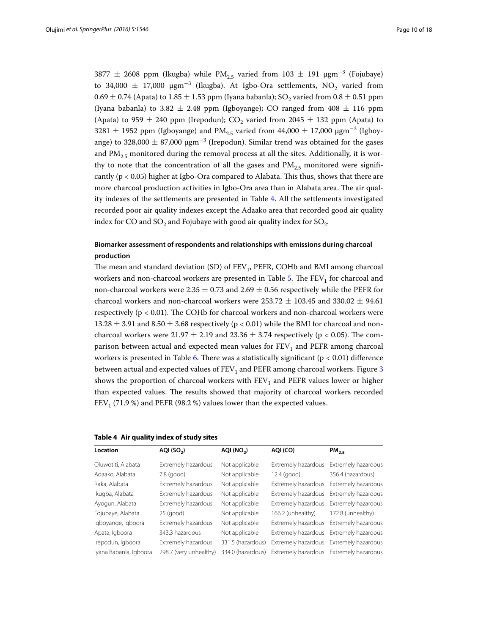$3877 \pm 2608$  ppm (Ikugba) while PM<sub>2.5</sub> varied from  $103 \pm 191$   $\mu$ gm<sup>-3</sup> (Fojubaye) to 34,000  $\pm$  17,000  $\mu$ gm<sup>−3</sup> (Ikugba). At Igbo-Ora settlements, NO<sub>2</sub> varied from  $0.69 \pm 0.74$  (Apata) to 1.85  $\pm$  1.53 ppm (Iyana babanla); SO<sub>2</sub> varied from 0.8  $\pm$  0.51 ppm (Iyana babanla) to 3.82  $\pm$  2.48 ppm (Igboyange); CO ranged from 408  $\pm$  116 ppm (Apata) to 959  $\pm$  240 ppm (Irepodun); CO<sub>2</sub> varied from 2045  $\pm$  132 ppm (Apata) to  $3281 \pm 1952$  ppm (Igboyange) and PM<sub>2.5</sub> varied from  $44,000 \pm 17,000$   $\mu$ gm<sup>-3</sup> (Igboyange) to 328,000  $\pm$  87,000  $\mu$ gm<sup>−3</sup> (Irepodun). Similar trend was obtained for the gases and  $PM_{2.5}$  monitored during the removal process at all the sites. Additionally, it is worthy to note that the concentration of all the gases and  $PM_{2.5}$  monitored were significantly ( $p < 0.05$ ) higher at Igbo-Ora compared to Alabata. This thus, shows that there are more charcoal production activities in Igbo-Ora area than in Alabata area. The air quality indexes of the settlements are presented in Table [4](#page-9-0). All the settlements investigated recorded poor air quality indexes except the Adaako area that recorded good air quality index for CO and  $SO_2$  and Fojubaye with good air quality index for  $SO_2$ .

# **Biomarker assessment of respondents and relationships with emissions during charcoal production**

The mean and standard deviation (SD) of  $FEV<sub>1</sub>$ , PEFR, COHb and BMI among charcoal workers and non-charcoal workers are presented in Table [5](#page-10-0). The  $FEV<sub>1</sub>$  for charcoal and non-charcoal workers were 2.35  $\pm$  0.73 and 2.69  $\pm$  0.56 respectively while the PEFR for charcoal workers and non-charcoal workers were  $253.72 \pm 103.45$  and  $330.02 \pm 94.61$ respectively (p < 0.01). The COHb for charcoal workers and non-charcoal workers were  $13.28 \pm 3.91$  and  $8.50 \pm 3.68$  respectively (p < 0.01) while the BMI for charcoal and noncharcoal workers were 21.97  $\pm$  2.19 and 23.36  $\pm$  3.74 respectively (p < 0.05). The comparison between actual and expected mean values for  $FEV<sub>1</sub>$  and  $PEFR$  among charcoal workers is presented in Table [6.](#page-10-1) There was a statistically significant ( $p < 0.01$ ) difference between actual and expected values of  $FEV<sub>1</sub>$  and  $PEFR$  among charcoal workers. Figure [3](#page-7-1) shows the proportion of charcoal workers with  $FEV<sub>1</sub>$  and PEFR values lower or higher than expected values. The results showed that majority of charcoal workers recorded FEV<sub>1</sub> (71.9 %) and PEFR (98.2 %) values lower than the expected values.

<span id="page-9-0"></span>

|  |  |  | Table 4 Air quality index of study sites |
|--|--|--|------------------------------------------|
|--|--|--|------------------------------------------|

| Location               | AQI(SO <sub>2</sub> )  |                   | AQI (CO)                                | PM <sub>25</sub>                        |  |
|------------------------|------------------------|-------------------|-----------------------------------------|-----------------------------------------|--|
| Oluwotiti, Alabata     | Extremely hazardous    | Not applicable    | Extremely hazardous                     | Extremely hazardous                     |  |
| Adaako, Alabata        | $7.8$ (good)           | Not applicable    | $12.4$ (good)                           | 356.4 (hazardous)                       |  |
| Raka, Alabata          | Extremely hazardous    | Not applicable    | Extremely hazardous                     | Extremely hazardous                     |  |
| Ikugba, Alabata        | Extremely hazardous    | Not applicable    | Extremely hazardous                     | Extremely hazardous                     |  |
| Ayogun, Alabata        | Extremely hazardous    | Not applicable    |                                         | Extremely hazardous Extremely hazardous |  |
| Fojubaye, Alabata      | $25$ (good)            | Not applicable    | 166.2 (unhealthy)                       | 172.8 (unhealthy)                       |  |
| Igboyange, Igboora     | Extremely hazardous    | Not applicable    |                                         | Extremely hazardous Extremely hazardous |  |
| Apata, Igboora         | 343.3 hazardous        | Not applicable    |                                         | Extremely hazardous Extremely hazardous |  |
| Irepodun, Igboora      | Extremely hazardous    | 331.5 (hazardous) |                                         | Extremely hazardous Extremely hazardous |  |
| Iyana Babanla, Igboora | 298.7 (very unhealthy) | 334.0 (hazardous) | Extremely hazardous Extremely hazardous |                                         |  |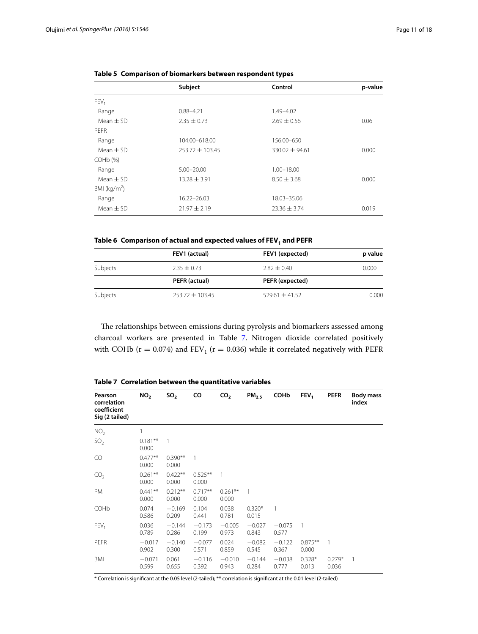| Subject             | Control            | p-value |  |
|---------------------|--------------------|---------|--|
|                     |                    |         |  |
| $0.88 - 4.21$       | 1.49-4.02          |         |  |
| $2.35 \pm 0.73$     | $2.69 \pm 0.56$    | 0.06    |  |
|                     |                    |         |  |
| 104.00-618.00       | 156.00-650         |         |  |
| $253.72 \pm 103.45$ | $330.02 \pm 94.61$ | 0.000   |  |
|                     |                    |         |  |
| $5.00 - 20.00$      | 1.00-18.00         |         |  |
| $13.28 \pm 3.91$    | $8.50 \pm 3.68$    | 0.000   |  |
|                     |                    |         |  |
| 16.22-26.03         | 18.03-35.06        |         |  |
| $21.97 \pm 2.19$    | $23.36 \pm 3.74$   | 0.019   |  |
|                     |                    |         |  |

<span id="page-10-0"></span>

| Table 5 Comparison of biomarkers between respondent types |  |  |  |  |  |  |
|-----------------------------------------------------------|--|--|--|--|--|--|
|-----------------------------------------------------------|--|--|--|--|--|--|

# <span id="page-10-1"></span>Table 6 Comparison of actual and expected values of FEV<sub>1</sub> and PEFR

|          | FEV1 (actual)       | FEV1 (expected)    | p value |
|----------|---------------------|--------------------|---------|
| Subjects | $2.35 \pm 0.73$     | $2.82 \pm 0.40$    | 0.000   |
|          | PEFR (actual)       | PEFR (expected)    |         |
| Subjects | $253.72 \pm 103.45$ | $529.61 \pm 41.52$ | 0.000   |

The relationships between emissions during pyrolysis and biomarkers assessed among charcoal workers are presented in Table [7.](#page-10-2) Nitrogen dioxide correlated positively with COHb ( $r = 0.074$ ) and  $FEV<sub>1</sub>$  ( $r = 0.036$ ) while it correlated negatively with PEFR

| Pearson<br>correlation<br>coefficient<br>Sig (2 tailed) | NO <sub>2</sub>     | so,                | co                 | CO <sub>2</sub>    | PM <sub>2.5</sub> | <b>COHb</b>       | FEV <sub>1</sub>    | <b>PEFR</b>       | <b>Body mass</b><br>index |
|---------------------------------------------------------|---------------------|--------------------|--------------------|--------------------|-------------------|-------------------|---------------------|-------------------|---------------------------|
| NO <sub>2</sub>                                         | 1                   |                    |                    |                    |                   |                   |                     |                   |                           |
| SO <sub>2</sub>                                         | $0.181***$<br>0.000 | 1                  |                    |                    |                   |                   |                     |                   |                           |
| CO                                                      | $0.477**$<br>0.000  | $0.390**$<br>0.000 | 1                  |                    |                   |                   |                     |                   |                           |
| CO <sub>2</sub>                                         | $0.261**$<br>0.000  | $0.422**$<br>0.000 | $0.525**$<br>0.000 |                    |                   |                   |                     |                   |                           |
| PM                                                      | $0.441**$<br>0.000  | $0.212**$<br>0.000 | $0.717**$<br>0.000 | $0.261**$<br>0.000 | 1                 |                   |                     |                   |                           |
| COHb                                                    | 0.074<br>0.586      | $-0.169$<br>0.209  | 0.104<br>0.441     | 0.038<br>0.781     | $0.320*$<br>0.015 | 1                 |                     |                   |                           |
| FEV.                                                    | 0.036<br>0.789      | $-0.144$<br>0.286  | $-0.173$<br>0.199  | $-0.005$<br>0.973  | $-0.027$<br>0.843 | $-0.075$<br>0.577 | $\overline{1}$      |                   |                           |
| PEFR                                                    | $-0.017$<br>0.902   | $-0.140$<br>0.300  | $-0.077$<br>0.571  | 0.024<br>0.859     | $-0.082$<br>0.545 | $-0.122$<br>0.367 | $0.875***$<br>0.000 | 1                 |                           |
| <b>BMI</b>                                              | $-0.071$<br>0.599   | 0.061<br>0.655     | $-0.116$<br>0.392  | $-0.010$<br>0.943  | $-0.144$<br>0.284 | $-0.038$<br>0.777 | $0.328*$<br>0.013   | $0.279*$<br>0.036 |                           |

<span id="page-10-2"></span>**Table 7 Correlation between the quantitative variables**

\* Correlation is significant at the 0.05 level (2-tailed); \*\* correlation is significant at the 0.01 level (2-tailed)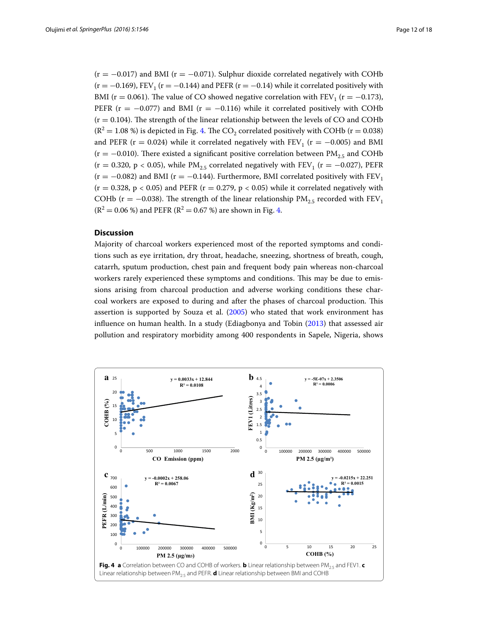$(r = -0.017)$  and BMI ( $r = -0.071$ ). Sulphur dioxide correlated negatively with COHb  $(r = -0.169)$ , FEV<sub>1</sub> ( $r = -0.144$ ) and PEFR ( $r = -0.14$ ) while it correlated positively with BMI ( $r = 0.061$ ). The value of CO showed negative correlation with  $FEV<sub>1</sub>$  ( $r = -0.173$ ), PEFR ( $r = -0.077$ ) and BMI ( $r = -0.116$ ) while it correlated positively with COHb  $(r = 0.104)$ . The strength of the linear relationship between the levels of CO and COHb  $(R^2 = 1.08 \%)$  is depicted in Fig. [4](#page-11-0). The CO<sub>2</sub> correlated positively with COHb (r = 0.038) and PEFR ( $r = 0.024$ ) while it correlated negatively with FEV<sub>1</sub> ( $r = -0.005$ ) and BMI  $(r = -0.010)$ . There existed a significant positive correlation between PM<sub>2.5</sub> and COHb (r = 0.320, p < 0.05), while  $PM_{2.5}$  correlated negatively with FEV<sub>1</sub> (r = -0.027), PEFR  $(r = -0.082)$  and BMI (r = -0.144). Furthermore, BMI correlated positively with FEV<sub>1</sub>  $(r = 0.328, p < 0.05)$  and PEFR  $(r = 0.279, p < 0.05)$  while it correlated negatively with COHb (r = -0.038). The strength of the linear relationship  $PM_{2.5}$  recorded with  $FEV_1$  $(R^{2} = 0.06 \%)$  and PEFR  $(R^{2} = 0.67 \%)$  are shown in Fig. [4.](#page-11-0)

# **Discussion**

Majority of charcoal workers experienced most of the reported symptoms and conditions such as eye irritation, dry throat, headache, sneezing, shortness of breath, cough, catarrh, sputum production, chest pain and frequent body pain whereas non-charcoal workers rarely experienced these symptoms and conditions. This may be due to emissions arising from charcoal production and adverse working conditions these charcoal workers are exposed to during and after the phases of charcoal production. This assertion is supported by Souza et al. [\(2005](#page-15-1)) who stated that work environment has influence on human health. In a study (Ediagbonya and Tobin ([2013](#page-15-11)) that assessed air pollution and respiratory morbidity among 400 respondents in Sapele, Nigeria, shows

<span id="page-11-0"></span>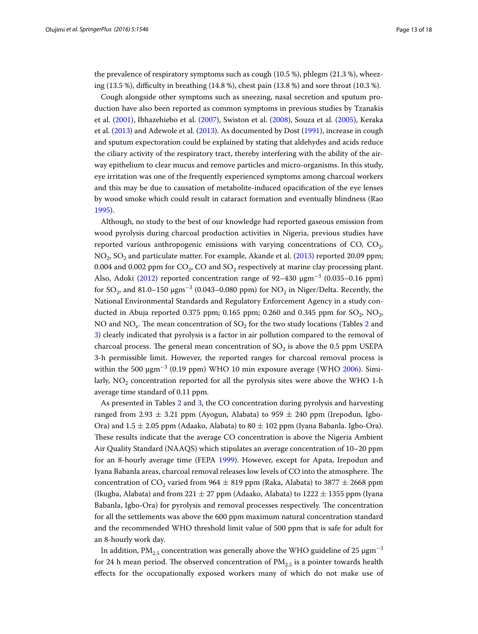the prevalence of respiratory symptoms such as cough (10.5 %), phlegm (21.3 %), wheezing (13.5 %), difficulty in breathing (14.8 %), chest pain (13.8 %) and sore throat (10.3 %).

Cough alongside other symptoms such as sneezing, nasal secretion and sputum production have also been reported as common symptoms in previous studies by Tzanakis et al. ([2001](#page-15-1)), Ibhazehiebo et al. [\(2007](#page-15-1)), Swiston et al. [\(2008](#page-15-1)), Souza et al. ([2005\)](#page-15-1), Keraka et al. [\(2013](#page-15-1)) and Adewole et al. ([2013](#page-15-16)). As documented by Dost [\(1991\)](#page-15-10), increase in cough and sputum expectoration could be explained by stating that aldehydes and acids reduce the ciliary activity of the respiratory tract, thereby interfering with the ability of the airway epithelium to clear mucus and remove particles and micro-organisms. In this study, eye irritation was one of the frequently experienced symptoms among charcoal workers and this may be due to causation of metabolite-induced opacification of the eye lenses by wood smoke which could result in cataract formation and eventually blindness (Rao [1995](#page-15-1)).

Although, no study to the best of our knowledge had reported gaseous emission from wood pyrolysis during charcoal production activities in Nigeria, previous studies have reported various anthropogenic emissions with varying concentrations of CO, CO<sub>2</sub>,  $NO<sub>2</sub>$ ,  $SO<sub>2</sub>$  and particulate matter. For example, Akande et al. ([2013\)](#page-15-17) reported 20.09 ppm; 0.004 and 0.002 ppm for  $CO<sub>2</sub>$ ,  $CO$  and  $SO<sub>2</sub>$  respectively at marine clay processing plant. Also, Adoki ([2012\)](#page-15-18) reported concentration range of 92–430  $\mu$ gm<sup>-3</sup> (0.035–0.16 ppm) for SO<sub>2</sub>, and 81.0–150  $\mu$ gm<sup>−3</sup> (0.043–0.080 ppm) for NO<sub>2</sub> in Niger/Delta. Recently, the National Environmental Standards and Regulatory Enforcement Agency in a study conducted in Abuja reported 0.375 ppm; 0.165 ppm; 0.260 and 0.345 ppm for  $SO_2$ ,  $NO_2$ , NO and NO<sub>x</sub>. The mean concentration of SO<sub>2</sub> for the two study locations (Tables [2](#page-7-2) and [3\)](#page-8-0) clearly indicated that pyrolysis is a factor in air pollution compared to the removal of charcoal process. The general mean concentration of  $SO<sub>2</sub>$  is above the 0.5 ppm USEPA 3-h permissible limit. However, the reported ranges for charcoal removal process is within the 500  $\mu$ gm $^{-3}$  (0.19 ppm) WHO 10 min exposure average (WHO [2006\)](#page-15-1). Similarly,  $NO<sub>2</sub>$  concentration reported for all the pyrolysis sites were above the WHO 1-h average time standard of 0.11 ppm.

As presented in Tables [2](#page-7-2) and [3](#page-8-0), the CO concentration during pyrolysis and harvesting ranged from 2.93  $\pm$  3.21 ppm (Ayogun, Alabata) to 959  $\pm$  240 ppm (Irepodun, Igbo-Ora) and  $1.5 \pm 2.05$  ppm (Adaako, Alabata) to  $80 \pm 102$  ppm (Iyana Babanla. Igbo-Ora). These results indicate that the average CO concentration is above the Nigeria Ambient Air Quality Standard (NAAQS) which stipulates an average concentration of 10–20 ppm for an 8-hourly average time (FEPA [1999](#page-15-19)). However, except for Apata, Irepodun and Iyana Babanla areas, charcoal removal releases low levels of CO into the atmosphere. The concentration of  $CO_2$  varied from 964  $\pm$  819 ppm (Raka, Alabata) to 3877  $\pm$  2668 ppm (Ikugba, Alabata) and from  $221 \pm 27$  ppm (Adaako, Alabata) to  $1222 \pm 1355$  ppm (Iyana Babanla, Igbo-Ora) for pyrolysis and removal processes respectively. The concentration for all the settlements was above the 600 ppm maximum natural concentration standard and the recommended WHO threshold limit value of 500 ppm that is safe for adult for an 8-hourly work day.

In addition, PM<sub>2.5</sub> concentration was generally above the WHO guideline of 25  $\mu$ gm<sup>-3</sup> for 24 h mean period. The observed concentration of  $PM_{2.5}$  is a pointer towards health effects for the occupationally exposed workers many of which do not make use of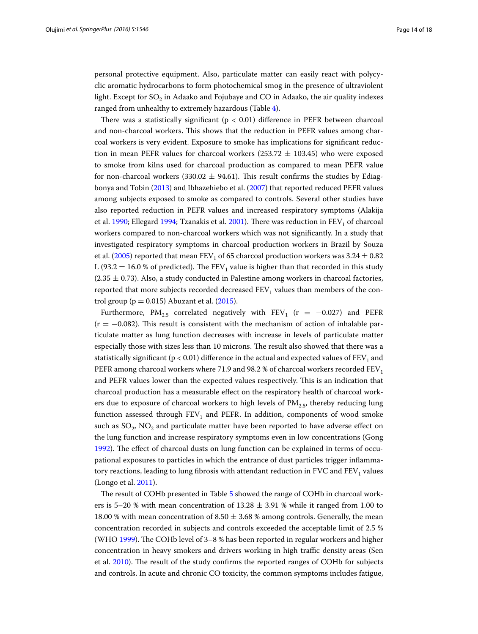personal protective equipment. Also, particulate matter can easily react with polycyclic aromatic hydrocarbons to form photochemical smog in the presence of ultraviolent light. Except for  $SO<sub>2</sub>$  in Adaako and Fojubaye and CO in Adaako, the air quality indexes ranged from unhealthy to extremely hazardous (Table [4\)](#page-9-0).

There was a statistically significant ( $p < 0.01$ ) difference in PEFR between charcoal and non-charcoal workers. This shows that the reduction in PEFR values among charcoal workers is very evident. Exposure to smoke has implications for significant reduction in mean PEFR values for charcoal workers (253.72  $\pm$  103.45) who were exposed to smoke from kilns used for charcoal production as compared to mean PEFR value for non-charcoal workers (330.02  $\pm$  94.61). This result confirms the studies by Ediagbonya and Tobin [\(2013](#page-15-11)) and Ibhazehiebo et al. ([2007\)](#page-15-1) that reported reduced PEFR values among subjects exposed to smoke as compared to controls. Several other studies have also reported reduction in PEFR values and increased respiratory symptoms (Alakija et al. [1990](#page-15-20); Ellegard [1994](#page-15-21); Tzanakis et al. [2001\)](#page-15-1). There was reduction in  $FEV<sub>1</sub>$  of charcoal workers compared to non-charcoal workers which was not significantly. In a study that investigated respiratory symptoms in charcoal production workers in Brazil by Souza et al. [\(2005\)](#page-15-1) reported that mean FEV<sub>1</sub> of 65 charcoal production workers was 3.24  $\pm$  0.82 L (93.2  $\pm$  16.0 % of predicted). The FEV<sub>1</sub> value is higher than that recorded in this study  $(2.35 \pm 0.73)$ . Also, a study conducted in Palestine among workers in charcoal factories, reported that more subjects recorded decreased  $FEV<sub>1</sub>$  values than members of the control group ( $p = 0.015$ ) Abuzant et al. [\(2015](#page-15-13)).

Furthermore, PM<sub>2.5</sub> correlated negatively with FEV<sub>1</sub> (r = -0.027) and PEFR  $(r = -0.082)$ . This result is consistent with the mechanism of action of inhalable particulate matter as lung function decreases with increase in levels of particulate matter especially those with sizes less than 10 microns. The result also showed that there was a statistically significant ( $p < 0.01$ ) difference in the actual and expected values of  $FEV<sub>1</sub>$  and PEFR among charcoal workers where 71.9 and 98.2 % of charcoal workers recorded  $FEV<sub>1</sub>$ and PEFR values lower than the expected values respectively. This is an indication that charcoal production has a measurable effect on the respiratory health of charcoal workers due to exposure of charcoal workers to high levels of  $PM_{2.5}$ , thereby reducing lung function assessed through  $FEV<sub>1</sub>$  and PEFR. In addition, components of wood smoke such as  $SO_2$ ,  $NO_2$  and particulate matter have been reported to have adverse effect on the lung function and increase respiratory symptoms even in low concentrations (Gong [1992](#page-15-1)). The effect of charcoal dusts on lung function can be explained in terms of occupational exposures to particles in which the entrance of dust particles trigger inflammatory reactions, leading to lung fibrosis with attendant reduction in FVC and  $FEV<sub>1</sub>$  values (Longo et al. [2011](#page-15-1)).

The result of COHb presented in Table [5](#page-10-0) showed the range of COHb in charcoal workers is 5–20 % with mean concentration of  $13.28 \pm 3.91$  % while it ranged from 1.00 to 18.00 % with mean concentration of 8.50  $\pm$  3.68 % among controls. Generally, the mean concentration recorded in subjects and controls exceeded the acceptable limit of 2.5 % (WHO [1999](#page-15-1)). The COHb level of 3–8 % has been reported in regular workers and higher concentration in heavy smokers and drivers working in high traffic density areas (Sen et al. [2010](#page-15-1)). The result of the study confirms the reported ranges of COHb for subjects and controls. In acute and chronic CO toxicity, the common symptoms includes fatigue,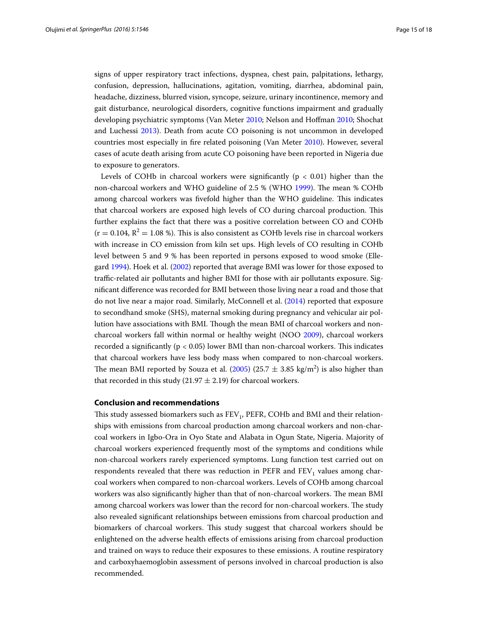signs of upper respiratory tract infections, dyspnea, chest pain, palpitations, lethargy, confusion, depression, hallucinations, agitation, vomiting, diarrhea, abdominal pain, headache, dizziness, blurred vision, syncope, seizure, urinary incontinence, memory and gait disturbance, neurological disorders, cognitive functions impairment and gradually developing psychiatric symptoms (Van Meter [2010;](#page-15-1) Nelson and Hoffman [2010;](#page-15-1) Shochat and Luchessi [2013](#page-15-1)). Death from acute CO poisoning is not uncommon in developed countries most especially in fire related poisoning (Van Meter [2010](#page-15-1)). However, several cases of acute death arising from acute CO poisoning have been reported in Nigeria due to exposure to generators.

Levels of COHb in charcoal workers were significantly ( $p < 0.01$ ) higher than the non-charcoal workers and WHO guideline of 2.5 % (WHO [1999](#page-15-1)). The mean % COHb among charcoal workers was fivefold higher than the WHO guideline. This indicates that charcoal workers are exposed high levels of CO during charcoal production. This further explains the fact that there was a positive correlation between CO and COHb  $(r = 0.104, R^2 = 1.08 \%)$ . This is also consistent as COHb levels rise in charcoal workers with increase in CO emission from kiln set ups. High levels of CO resulting in COHb level between 5 and 9 % has been reported in persons exposed to wood smoke (Ellegard [1994\)](#page-15-21). Hoek et al. [\(2002](#page-15-1)) reported that average BMI was lower for those exposed to traffic-related air pollutants and higher BMI for those with air pollutants exposure. Significant difference was recorded for BMI between those living near a road and those that do not live near a major road. Similarly, McConnell et al. ([2014](#page-15-1)) reported that exposure to secondhand smoke (SHS), maternal smoking during pregnancy and vehicular air pollution have associations with BMI. Though the mean BMI of charcoal workers and noncharcoal workers fall within normal or healthy weight (NOO [2009\)](#page-15-1), charcoal workers recorded a significantly ( $p < 0.05$ ) lower BMI than non-charcoal workers. This indicates that charcoal workers have less body mass when compared to non-charcoal workers. The mean BMI reported by Souza et al. [\(2005](#page-15-1)) (25.7  $\pm$  3.85 kg/m<sup>2</sup>) is also higher than that recorded in this study (21.97  $\pm$  2.19) for charcoal workers.

## **Conclusion and recommendations**

This study assessed biomarkers such as  $FEV<sub>1</sub>$ ,  $PEFR$ , COHb and BMI and their relationships with emissions from charcoal production among charcoal workers and non-charcoal workers in Igbo-Ora in Oyo State and Alabata in Ogun State, Nigeria. Majority of charcoal workers experienced frequently most of the symptoms and conditions while non-charcoal workers rarely experienced symptoms. Lung function test carried out on respondents revealed that there was reduction in PEFR and  $FEV<sub>1</sub>$  values among charcoal workers when compared to non-charcoal workers. Levels of COHb among charcoal workers was also significantly higher than that of non-charcoal workers. The mean BMI among charcoal workers was lower than the record for non-charcoal workers. The study also revealed significant relationships between emissions from charcoal production and biomarkers of charcoal workers. This study suggest that charcoal workers should be enlightened on the adverse health effects of emissions arising from charcoal production and trained on ways to reduce their exposures to these emissions. A routine respiratory and carboxyhaemoglobin assessment of persons involved in charcoal production is also recommended.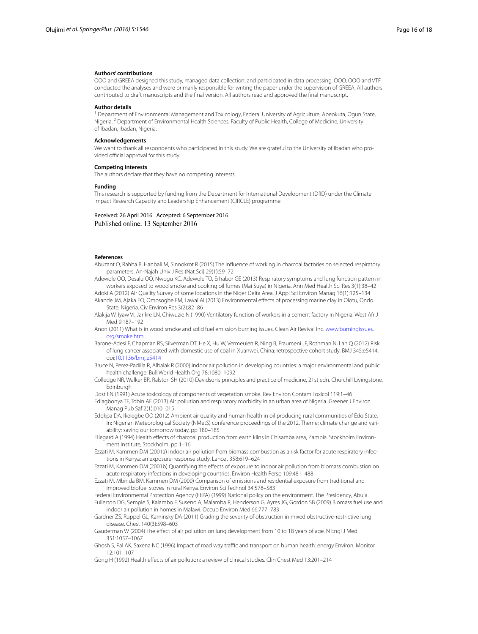#### **Authors' contributions**

OOO and GREEA designed this study, managed data collection, and participated in data processing. OOO, OOO and VTF conducted the analyses and were primarily responsible for writing the paper under the supervision of GREEA. All authors contributed to draft manuscripts and the final version. All authors read and approved the final manuscript.

#### **Author details**

<sup>1</sup> Department of Environmental Management and Toxicology, Federal University of Agriculture, Abeokuta, Ogun State, Nigeria. 2 Department of Environmental Health Sciences, Faculty of Public Health, College of Medicine, University of Ibadan, Ibadan, Nigeria.

#### **Acknowledgements**

We want to thank all respondents who participated in this study. We are grateful to the University of Ibadan who provided official approval for this study.

#### **Competing interests**

The authors declare that they have no competing interests.

#### **Funding**

This research is supported by funding from the Department for International Development (DfID) under the Climate Impact Research Capacity and Leadership Enhancement (CIRCLE) programme.

Received: 26 April 2016 Accepted: 6 September 2016 Published online: 13 September 2016

#### **References**

- <span id="page-15-13"></span>Abuzant O, Rahha B, Hanbali M, Sinnokrot R (2015) The influence of working in charcoal factories on selected respiratory parameters. An-Najah Univ J Res (Nat Sci) 29(1):59–72
- <span id="page-15-16"></span>Adewole OO, Desalu OO, Nwogu KC, Adewole TO, Erhabor GE (2013) Respiratory symptoms and lung function pattern in workers exposed to wood smoke and cooking oil fumes (Mai Suya) in Nigeria. Ann Med Health Sci Res 3(1):38–42

<span id="page-15-18"></span><span id="page-15-17"></span>Adoki A (2012) Air Quality Survey of some locations in the Niger Delta Area. J Appl Sci Environ Manag 16(1):125–134 Akande JM, Ajaka EO, Omosogbe FM, Lawal AI (2013) Environmental effects of processing marine clay in Olotu, Ondo State, Nigeria. Civ Environ Res 3(2):82–86

<span id="page-15-20"></span>Alakija W, Iyaw VI, Jarikre LN, Chiwuzie N (1990) Ventilatory function of workers in a cement factory in Nigeria. West Afr J Med 9:187–192

<span id="page-15-9"></span>Anon (2011) What is in wood smoke and solid fuel emission burning issues. Clean Air Revival Inc. [www.burningissues.](http://www.burningissues.org/smoke.htm) [org/smoke.htm](http://www.burningissues.org/smoke.htm)

- <span id="page-15-6"></span>Barone-Adesi F, Chapman RS, Silverman DT, He X, Hu W, Vermeulen R, Ning B, Fraumeni JF, Rothman N, Lan Q (2012) Risk of lung cancer associated with domestic use of coal in Xuanwei, China: retrospective cohort study. BMJ 345:e5414. doi:[10.1136/bmj.e5414](http://dx.doi.org/10.1136/bmj.e5414)
- <span id="page-15-2"></span>Bruce N, Perez-Padilla R, Albalak R (2000) Indoor air pollution in developing countries: a major environmental and public health challenge. Bull World Health Org 78:1080–1092
- <span id="page-15-14"></span>Colledge NR, Walker BR, Ralston SH (2010) Davidson's principles and practice of medicine, 21st edn. Churchill Livingstone, Edinburgh

<span id="page-15-10"></span>Dost FN (1991) Acute toxicology of components of vegetation smoke. Rev Environ Contam Toxicol 119:1–46

- <span id="page-15-11"></span>Ediagbonya TF, Tobin AE (2013) Air pollution and respiratory morbidity in an urban area of Nigeria. Greener J Environ Manag Pub Saf 2(1):010–015
- <span id="page-15-7"></span>Edokpa DA, Ikelegbe OO (2012) Ambient air quality and human health in oil producing rural communities of Edo State. In: Nigerian Meteorological Society (NMetS) conference proceedings of the 2012. Theme: climate change and variability: saving our tomorrow today, pp 180–185

<span id="page-15-21"></span>Ellegard A (1994) Health effects of charcoal production from earth kilns in Chisamba area, Zambia. Stockholm Environment Institute, Stockholm, pp 1–16

<span id="page-15-4"></span>Ezzati M, Kammen DM (2001a) Indoor air pollution from biomass combustion as a risk factor for acute respiratory infections in Kenya: an exposure-response study. Lancet 358:619–624

<span id="page-15-5"></span>Ezzati M, Kammen DM (2001b) Quantifying the effects of exposure to indoor air pollution from biomass combustion on acute respiratory infections in developing countries. Environ Health Persp 109:481–488

<span id="page-15-0"></span>Ezzati M, Mbinda BM, Kammen DM (2000) Comparison of emissions and residential exposure from traditional and improved biofuel stoves in rural Kenya. Environ Sci Technol 34:578–583

<span id="page-15-19"></span><span id="page-15-3"></span>Federal Environmental Protection Agency (FEPA) (1999) National policy on the environment. The Presidency, Abuja Fullerton DG, Semple S, Kalambo F, Suseno A, Malamba R, Henderson G, Ayres JG, Gordon SB (2009) Biomass fuel use and indoor air pollution in homes in Malawi. Occup Environ Med 66:777–783

<span id="page-15-15"></span>Gardner ZS, Ruppel GL, Kaminsky DA (2011) Grading the severity of obstruction in mixed obstructive-restrictive lung disease. Chest 140(3):598–603

<span id="page-15-12"></span>Gauderman W (2004) The effect of air pollution on lung development from 10 to 18 years of age. N Engl J Med 351:1057–1067

<span id="page-15-8"></span>Ghosh S, Pal AK, Saxena NC (1996) Impact of road way traffic and transport on human health: energy Environ. Monitor 12:101–107

<span id="page-15-1"></span>Gong H (1992) Health effects of air pollution: a review of clinical studies. Clin Chest Med 13:201–214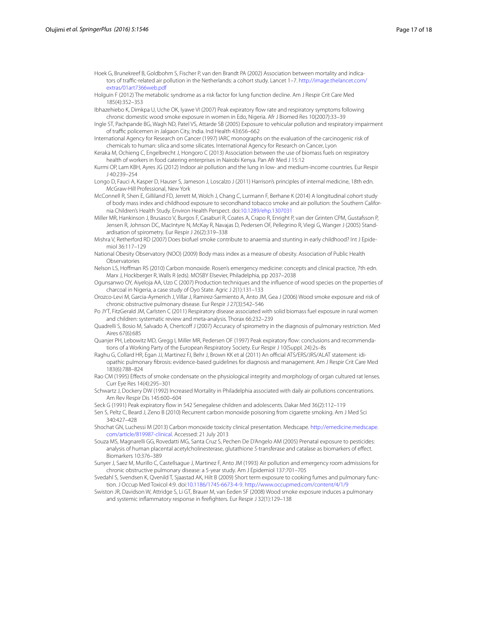- Hoek G, Brunekreef B, Goldbohm S, Fischer P, van den Brandt PA (2002) Association between mortality and indicators of traffic-related air pollution in the Netherlands: a cohort study. Lancet 1–7. [http://image.thelancet.com/](http://image.thelancet.com/extras/01art7366web.pdf) [extras/01art7366web.pdf](http://image.thelancet.com/extras/01art7366web.pdf)
- Holguin F (2012) The metabolic syndrome as a risk factor for lung function decline. Am J Respir Crit Care Med 185(4):352–353
- Ibhazehiebo K, Dimkpa U, Uche OK, Iyawe VI (2007) Peak expiratory flow rate and respiratory symptoms following chronic domestic wood smoke exposure in women in Edo, Nigeria. Afr J Biomed Res 10(2007):33–39
- Ingle ST, Pachpande BG, Wagh ND, Patel VS, Attarde SB (2005) Exposure to vehicular pollution and respiratory impairment of traffic policemen in Jalgaon City, India. Ind Health 43:656–662
- International Agency for Research on Cancer (1997) IARC monographs on the evaluation of the carcinogenic risk of chemicals to human: silica and some silicates. International Agency for Research on Cancer, Lyon
- Keraka M, Ochieng C, Engelbrecht J, Hongoro C (2013) Association between the use of biomass fuels on respiratory health of workers in food catering enterprises in Nairobi Kenya. Pan Afr Med J 15:12
- Kurmi OP, Lam KBH, Ayres JG (2012) Indoor air pollution and the lung in low- and medium-income countries. Eur Respir J 40:239–254
- Longo D, Fauci A, Kasper D, Hauser S, Jameson J, Loscalzo J (2011) Harrison's principles of internal medicine, 18th edn. McGraw-Hill Professional, New York
- McConnell R, Shen E, Gilliland FD, Jerrett M, Wolch J, Chang C, Lurmann F, Berhane K (2014) A longitudinal cohort study of body mass index and childhood exposure to secondhand tobacco smoke and air pollution: the Southern California Children's Health Study. Environ Health Perspect. doi:[10.1289/ehp.1307031](http://dx.doi.org/10.1289/ehp.1307031)
- Miller MR, Hankinson J, Brusasco V, Burgos F, Casaburi R, Coates A, Crapo R, Enright P, van der Grinten CPM, Gustafsson P, Jensen R, Johnson DC, MacIntyre N, McKay R, Navajas D, Pedersen OF, Pellegrino R, Viegi G, Wanger J (2005) Standardisation of spirometry. Eur Respir J 26(2):319–338
- Mishra V, Retherford RD (2007) Does biofuel smoke contribute to anaemia and stunting in early childhood? Int J Epidemiol 36:117–129
- National Obesity Observatory (NOO) (2009) Body mass index as a measure of obesity. Association of Public Health Observatories
- Nelson LS, Hoffman RS (2010) Carbon monoxide. Rosen's emergency medicine: concepts and clinical practice, 7th edn. Marx J, Hockberger R, Walls R (eds). MOSBY Elsevier, Philadelphia, pp 2037–2038
- Ogunsanwo OY, Aiyeloja AA, Uzo C (2007) Production techniques and the influence of wood species on the properties of charcoal in Nigeria, a case study of Oyo State. Agric J 2(1):131–133
- Orozco-Levi M, Garcia-Aymerich J, Villar J, Ramirez-Sarmiento A, Anto JM, Gea J (2006) Wood smoke exposure and risk of chronic obstructive pulmonary disease. Eur Respir J 27(3):542–546
- Po JYT, FitzGerald JM, Carlsten C (2011) Respiratory disease associated with solid biomass fuel exposure in rural women and children: systematic review and meta-analysis. Thorax 66:232–239
- Quadrelli S, Bosio M, Salvado A, Chertcoff J (2007) Accuracy of spirometry in the diagnosis of pulmonary restriction. Med Aires 67(6):685
- Quanjer PH, Lebowitz MD, Gregg I, Miller MR, Pedersen OF (1997) Peak expiratory flow: conclusions and recommendations of a Working Party of the European Respiratory Society. Eur Respir J 10(Suppl. 24):2s–8s
- Raghu G, Collard HR, Egan JJ, Martinez FJ, Behr J, Brown KK et al (2011) An official ATS/ERS/JRS/ALAT statement: idiopathic pulmonary fibrosis: evidence-based guidelines for diagnosis and management. Am J Respir Crit Care Med 183(6):788–824
- Rao CM (1995) Effects of smoke condensate on the physiological integrity and morphology of organ cultured rat lenses. Curr Eye Res 14(4):295–301
- Schwartz J, Dockery DW (1992) Increased Mortality in Philadelphia associated with daily air pollutions concentrations. Am Rev Respir Dis 145:600–604
- Seck G (1991) Peak expiratory flow in 542 Senegalese children and adolescents. Dakar Med 36(2):112–119
- Sen S, Peltz C, Beard J, Zeno B (2010) Recurrent carbon monoxide poisoning from cigarette smoking. Am J Med Sci 340:427–428
- Shochat GN, Luchessi M (2013) Carbon monoxide toxicity clinical presentation. Medscape. [http://emedicine.medscape.](http://emedicine.medscape.com/article/819987-clinical) [com/article/819987-clinical](http://emedicine.medscape.com/article/819987-clinical). Accessed: 21 July 2013
- Souza MS, Magnarelli GG, Rovedatti MG, Santa Cruz S, Pechen De D'Angelo AM (2005) Prenatal exposure to pesticides: analysis of human placental acetylcholinesterase, glutathione *S*-transferase and catalase as biomarkers of effect. Biomarkers 10:376–389
- Sunyer J, Saez M, Murillo C, Castellsague J, Martinez F, Anto JM (1993) Air pollution and emergency room admissions for chronic obstructive pulmonary disease: a 5-year study. Am J Epidemiol 137:701–705
- Svedahl S, Svendsen K, Qvenild T, Sjaastad AK, Hilt B (2009) Short term exposure to cooking fumes and pulmonary function. J Occup Med Toxicol 4:9. doi:[10.1186/1745-6673-4-9](http://dx.doi.org/10.1186/1745-6673-4-9).<http://www.occupmed.com/content/4/1/9>
- Swiston JR, Davidson W, Attridge S, Li GT, Brauer M, van Eeden SF (2008) Wood smoke exposure induces a pulmonary and systemic inflammatory response in firefighters. Eur Respir J 32(1):129–138